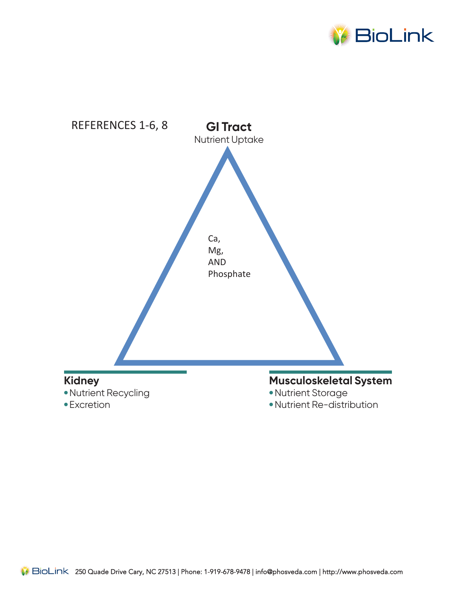

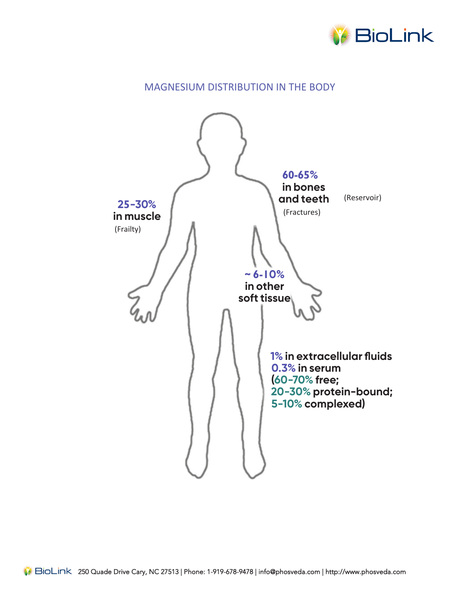

# MAGNESIUM DISTRIBUTION IN THE BODY

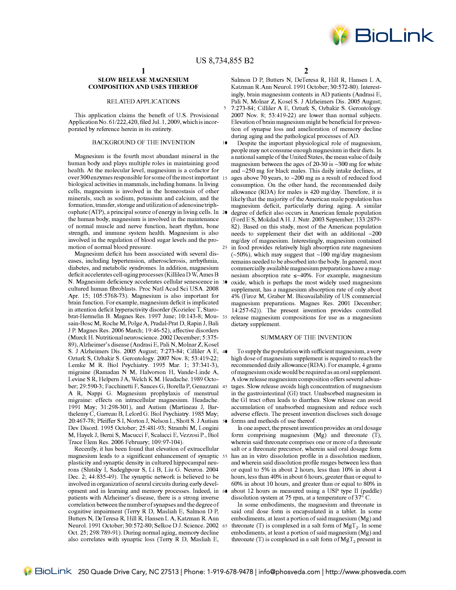$\overline{1}$ 

### **SLOW RELEASE MAGNESIUM COMPOSITION AND USES THEREOF**

## RELATED APPLICATIONS

This application claims the benefit of U.S. Provisional Application No. 61/222,420, filed Jul. 1, 2009, which is incorporated by reference herein in its entirety.

## BACKGROUND OF THE INVENTION

Magnesium is the fourth most abundant mineral in the human body and plays multiple roles in maintaining good health. At the molecular level, magnesium is a cofactor for over 300 enzymes responsible for some of the most important biological activities in mammals, including humans. In living cells, magnesium is involved in the homeostasis of other minerals, such as sodium, potassium and calcium, and the formation, transfer, storage and utilization of adenosine triphosphate (ATP), a principal source of energy in living cells. In 20 the human body, magnesium is involved in the maintenance of normal muscle and nerve function, heart rhythm, bone strength, and immune system health. Magnesium is also involved in the regulation of blood sugar levels and the promotion of normal blood pressure.

Magnesium deficit has been associated with several diseases, including hypertension, atherosclerosis, arrhythmia, diabetes, and metabolic syndromes. In addition, magnesium deficit accelerates cell-aging processes (Killilea D W, Ames B N. Magnesium deficiency accelerates cellular senescence in 3 cultured human fibroblasts. Proc Natl Acad Sci USA. 2008 Apr. 15; 105:5768-73). Magnesium is also important for brain function. For example, magnesium deficit is implicated in attention deficit hyperactivity disorder (Kozielec T, Starobrat-Hermelin B. Magnes Res. 1997 June; 10:143-8; Mousain-Bosc M, Roche M, Polge A, Pradal-Prat D, Rapin J, Bali J P. Magnes Res. 2006 March; 19:46-52), affective disorders (Murck H. Nutritional neuroscience. 2002 December; 5:375-89), Alzheimer's disease (Andrasi E, Pali N, Molnar Z, Kosel S. J Alzheimers Dis. 2005 August; 7:273-84; Cilliler A E, 40 Ozturk S, Ozbakir S. Gerontology. 2007 Nov. 8; 53:419-22; Lemke M R. Biol Psychiatry. 1995 Mar. 1; 37:341-3), migraine (Ramadan N M, Halvorson H, Vande-Linde A, Levine S R, Helpern J A, Welch K M. Headache. 1989 October; 29:590-3; Facchinetti F, Sances G, Borella P, Genazzani 45 A R, Nappi G. Magnesium prophylaxis of menstrual migraine: effects on intracellular magnesium. Headache. 1991 May; 31:298-301), and Autism (Martineau J, Barthelemy C, Garreau B, Lelord G. Biol Psychiatry. 1985 May; 20:467-78; Pfeiffer S I, Norton J, Nelson L, Shott S. J Autism 50 Dev Disord. 1995 October; 25:481-93; Strambi M, Longini M, Hayek J, Berni S, Macucci F, Scalacci E, Vezzosi P., Biol Trace Elem Res. 2006 February; 109:97-104).

Recently, it has been found that elevation of extracellular magnesium leads to a significant enhancement of synaptic 55 plasticity and synaptic density in cultured hippocampal neurons (Slutsky I, Sadeghpour S, Li B, Liu G. Neuron. 2004 Dec. 2; 44:835-49). The synaptic network is believed to be involved in organization of neural circuits during early development and in learning and memory processes. Indeed, in 60 patients with Alzheimer's disease, there is a strong inverse correlation between the number of synapses and the degree of cognitive impairment (Terry R D, Masliah E, Salmon D P, Butters N, De Teresa R, Hill R, Hansen L A, Katzman R. Ann Neurol. 1991 October; 30:572-80; Selkoe D J. Science. 2002 65 Oct. 25; 298:789-91). During normal aging, memory decline also correlates with synaptic loss (Terry R D, Masliah E,

 $\overline{2}$ 

Salmon D P, Butters N, DeTeresa R, Hill R, Hansen L A, Katzman R.Ann Neurol. 1991 October; 30:572-80). Interestingly, brain magnesium contents in AD patients (Andrasi E, Pali N, Molnar Z, Kosel S. J Alzheimers Dis. 2005 August; 7:273-84; Cilliler A E, Ozturk S, Ozbakir S. Gerontology. 2007 Nov. 8; 53:419-22) are lower than normal subjects. Elevation of brain magnesium might be beneficial for prevention of synapse loss and amelioration of memory decline during aging and the pathological processes of AD.

Despite the important physiological role of magnesium, people may not consume enough magnesium in their diets. In a national sample of the United States, the mean value of daily magnesium between the ages of 20-30 is ~300 mg for white and ~250 mg for black males. This daily intake declines, at ages above 70 years, to ~200 mg as a result of reduced food consumption. On the other hand, the recommended daily allowance (RDA) for males is 420 mg/day. Therefore, it is likely that the majority of the American male population has magnesium deficit, particularly during aging. A similar degree of deficit also occurs in American female population (Ford E S, Mokdad A H. J. Nutr. 2003 September; 133:2879-82). Based on this study, most of the American population needs to supplement their diet with an additional ~200 mg/day of magnesium. Interestingly, magnesium contained 25 in food provides relatively high absorption rate magnesium  $(-50\%)$ , which may suggest that ~100 mg/day magnesium remains needed to be absorbed into the body. In general, most commercially available magnesium preparations have a magnesium absorption rate  $\leq$  -40%. For example, magnesium oxide, which is perhaps the most widely used magnesium supplement, has a magnesium absorption rate of only about 4% (Firoz M, Graber M. Bioavailability of US commercial magnesium preparations. Magnes Res. 2001 December; 14:257-62)). The present invention provides controlled release magnesium compositions for use as a magnesium dietary supplement.

### SUMMARY OF THE INVENTION

To supply the population with sufficient magnesium, a very high dose of magnesium supplement is required to reach the recommended daily allowance (RDA). For example, 4 grams of magnesium oxide would be required as an oral supplement. A slow release magnesium composition offers several advantages. Slow release avoids high concentration of magnesium in the gastrointestinal (GI) tract. Unabsorbed magnesium in the GI tract often leads to diarrhea. Slow release can avoid accumulation of unabsorbed magnesium and reduce such adverse effects. The present invention discloses such dosage forms and methods of use thereof.

In one aspect, the present invention provides an oral dosage form comprising magnesium  $(Mg)$  and threonate  $(T)$ , wherein said threonate comprises one or more of a threonate salt or a threonate precursor, wherein said oral dosage form has an in vitro dissolution profile in a dissolution medium, and wherein said dissolution profile ranges between less than or equal to 5% in about 2 hours, less than 10% in about 4 hours, less than 40% in about 6 hours, greater than or equal to 60% in about 10 hours, and greater than or equal to 80% in about 12 hours as measured using a USP type II (paddle) dissolution system at 75 rpm, at a temperature of  $37^{\circ}$  C.

In some embodiments, the magnesium and threonate in said oral dose form is encapsulated in a tablet. In some embodiments, at least a portion of said magnesium (Mg) and threonate (T) is complexed in a salt form of MgT<sub>2</sub>. In some embodiments, at least a portion of said magnesium (Mg) and threonate (T) is complexed in a salt form of MgT, present in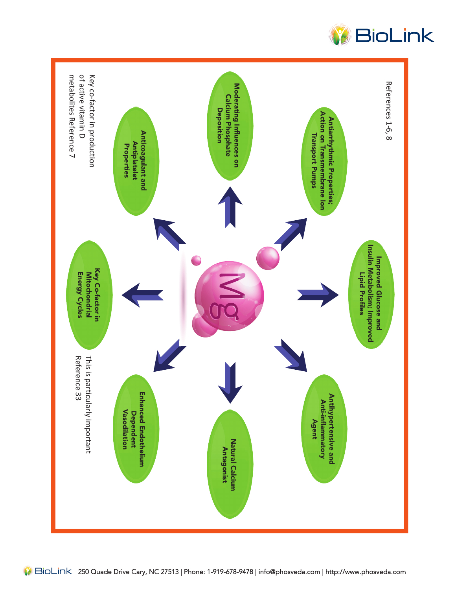